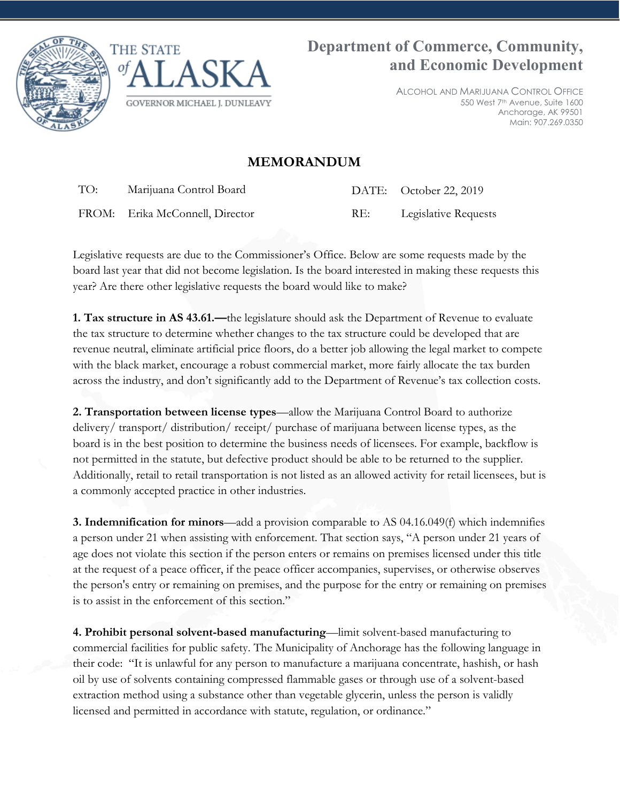



ALCOHOL AND MARIJUANA CONTROL OFFICE 550 West 7th Avenue, Suite 1600 Anchorage, AK 99501 Main: 907.269.0350

## **MEMORANDUM**

TO: Marijuana Control Board

DATE: October 22, 2019

FROM: Erika McConnell, Director

RE: Legislative Requests

Legislative requests are due to the Commissioner's Office. Below are some requests made by the board last year that did not become legislation. Is the board interested in making these requests this year? Are there other legislative requests the board would like to make?

**1. Tax structure in AS 43.61.—**the legislature should ask the Department of Revenue to evaluate the tax structure to determine whether changes to the tax structure could be developed that are revenue neutral, eliminate artificial price floors, do a better job allowing the legal market to compete with the black market, encourage a robust commercial market, more fairly allocate the tax burden across the industry, and don't significantly add to the Department of Revenue's tax collection costs.

**2. Transportation between license types**—allow the Marijuana Control Board to authorize delivery/ transport/ distribution/ receipt/ purchase of marijuana between license types, as the board is in the best position to determine the business needs of licensees. For example, backflow is not permitted in the statute, but defective product should be able to be returned to the supplier. Additionally, retail to retail transportation is not listed as an allowed activity for retail licensees, but is a commonly accepted practice in other industries.

**3. Indemnification for minors**—add a provision comparable to AS 04.16.049(f) which indemnifies a person under 21 when assisting with enforcement. That section says, "A person under 21 years of age does not violate this section if the person enters or remains on premises licensed under this title at the request of a peace officer, if the peace officer accompanies, supervises, or otherwise observes the person's entry or remaining on premises, and the purpose for the entry or remaining on premises is to assist in the enforcement of this section."

**4. Prohibit personal solvent-based manufacturing**—limit solvent-based manufacturing to commercial facilities for public safety. The Municipality of Anchorage has the following language in their code: "It is unlawful for any person to manufacture a marijuana concentrate, hashish, or hash oil by use of solvents containing compressed flammable gases or through use of a solvent-based extraction method using a substance other than vegetable glycerin, unless the person is validly licensed and permitted in accordance with statute, regulation, or ordinance."